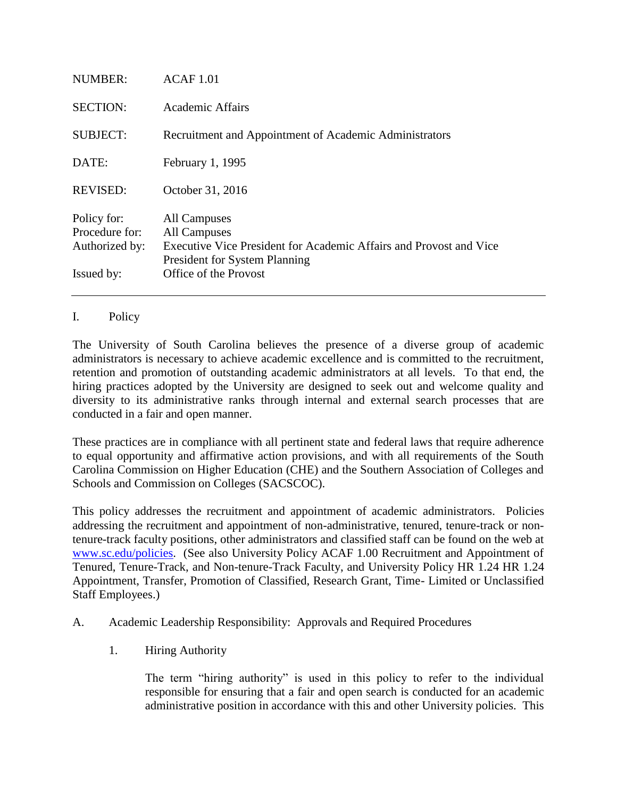| NUMBER:                                                       | ACAF 1.01                                                                                                                                                           |
|---------------------------------------------------------------|---------------------------------------------------------------------------------------------------------------------------------------------------------------------|
| <b>SECTION:</b>                                               | Academic Affairs                                                                                                                                                    |
| <b>SUBJECT:</b>                                               | Recruitment and Appointment of Academic Administrators                                                                                                              |
| DATE:                                                         | February 1, 1995                                                                                                                                                    |
| <b>REVISED:</b>                                               | October 31, 2016                                                                                                                                                    |
| Policy for:<br>Procedure for:<br>Authorized by:<br>Issued by: | All Campuses<br>All Campuses<br>Executive Vice President for Academic Affairs and Provost and Vice<br><b>President for System Planning</b><br>Office of the Provost |
|                                                               |                                                                                                                                                                     |

## I. Policy

The University of South Carolina believes the presence of a diverse group of academic administrators is necessary to achieve academic excellence and is committed to the recruitment, retention and promotion of outstanding academic administrators at all levels. To that end, the hiring practices adopted by the University are designed to seek out and welcome quality and diversity to its administrative ranks through internal and external search processes that are conducted in a fair and open manner.

These practices are in compliance with all pertinent state and federal laws that require adherence to equal opportunity and affirmative action provisions, and with all requirements of the South Carolina Commission on Higher Education (CHE) and the Southern Association of Colleges and Schools and Commission on Colleges (SACSCOC).

This policy addresses the recruitment and appointment of academic administrators. Policies addressing the recruitment and appointment of non-administrative, tenured, tenure-track or nontenure-track faculty positions, other administrators and classified staff can be found on the web at [www.sc.edu/policies.](http://www.sc.edu/policies) (See also University Policy ACAF 1.00 Recruitment and Appointment of Tenured, Tenure-Track, and Non-tenure-Track Faculty, and University Policy HR 1.24 HR 1.24 Appointment, Transfer, Promotion of Classified, Research Grant, Time- Limited or Unclassified Staff Employees.)

## A. Academic Leadership Responsibility: Approvals and Required Procedures

1. Hiring Authority

The term "hiring authority" is used in this policy to refer to the individual responsible for ensuring that a fair and open search is conducted for an academic administrative position in accordance with this and other University policies. This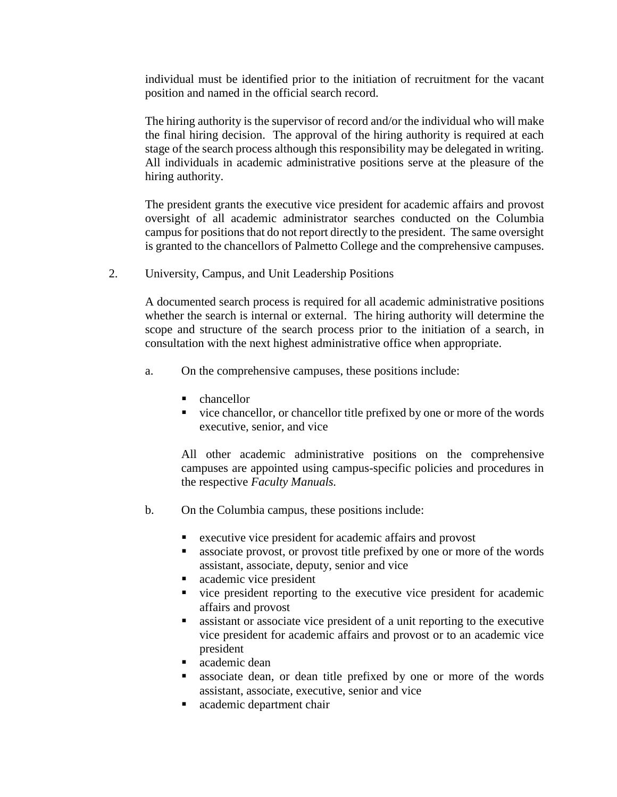individual must be identified prior to the initiation of recruitment for the vacant position and named in the official search record.

The hiring authority is the supervisor of record and/or the individual who will make the final hiring decision. The approval of the hiring authority is required at each stage of the search process although this responsibility may be delegated in writing. All individuals in academic administrative positions serve at the pleasure of the hiring authority.

The president grants the executive vice president for academic affairs and provost oversight of all academic administrator searches conducted on the Columbia campus for positions that do not report directly to the president. The same oversight is granted to the chancellors of Palmetto College and the comprehensive campuses.

2. University, Campus, and Unit Leadership Positions

A documented search process is required for all academic administrative positions whether the search is internal or external. The hiring authority will determine the scope and structure of the search process prior to the initiation of a search, in consultation with the next highest administrative office when appropriate.

- a. On the comprehensive campuses, these positions include:
	- chancellor
	- vice chancellor, or chancellor title prefixed by one or more of the words executive, senior, and vice

All other academic administrative positions on the comprehensive campuses are appointed using campus-specific policies and procedures in the respective *Faculty Manuals.*

- b. On the Columbia campus, these positions include:
	- executive vice president for academic affairs and provost
	- associate provost, or provost title prefixed by one or more of the words assistant, associate, deputy, senior and vice
	- **academic vice president**
	- vice president reporting to the executive vice president for academic affairs and provost
	- assistant or associate vice president of a unit reporting to the executive vice president for academic affairs and provost or to an academic vice president
	- **a** academic dean
	- associate dean, or dean title prefixed by one or more of the words assistant, associate, executive, senior and vice
	- **a** academic department chair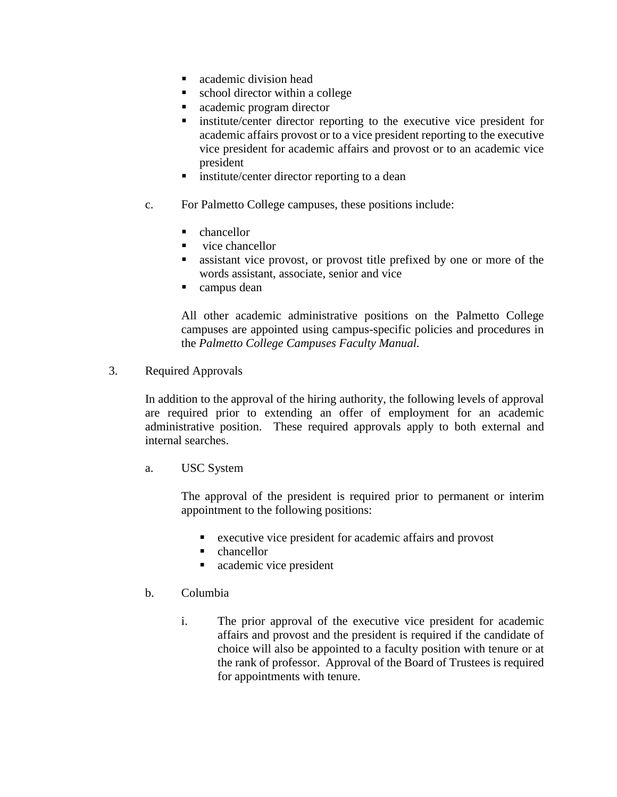- academic division head
- school director within a college
- academic program director
- institute/center director reporting to the executive vice president for academic affairs provost or to a vice president reporting to the executive vice president for academic affairs and provost or to an academic vice president
- **i** institute/center director reporting to a dean
- c. For Palmetto College campuses, these positions include:
	- chancellor
	- vice chancellor
	- assistant vice provost, or provost title prefixed by one or more of the words assistant, associate, senior and vice
	- campus dean

All other academic administrative positions on the Palmetto College campuses are appointed using campus-specific policies and procedures in the *Palmetto College Campuses Faculty Manual.*

3. Required Approvals

In addition to the approval of the hiring authority, the following levels of approval are required prior to extending an offer of employment for an academic administrative position. These required approvals apply to both external and internal searches.

a. USC System

The approval of the president is required prior to permanent or interim appointment to the following positions:

- executive vice president for academic affairs and provost
- chancellor
- **a** academic vice president
- b. Columbia
	- i. The prior approval of the executive vice president for academic affairs and provost and the president is required if the candidate of choice will also be appointed to a faculty position with tenure or at the rank of professor. Approval of the Board of Trustees is required for appointments with tenure.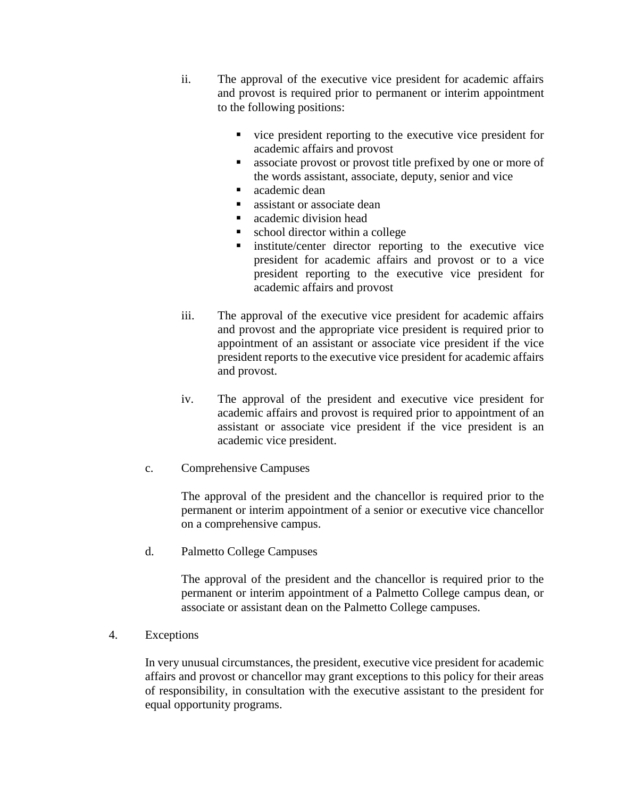- ii. The approval of the executive vice president for academic affairs and provost is required prior to permanent or interim appointment to the following positions:
	- vice president reporting to the executive vice president for academic affairs and provost
	- associate provost or provost title prefixed by one or more of the words assistant, associate, deputy, senior and vice
	- academic dean
	- **assistant or associate dean**
	- academic division head
	- school director within a college
	- institute/center director reporting to the executive vice president for academic affairs and provost or to a vice president reporting to the executive vice president for academic affairs and provost
- iii. The approval of the executive vice president for academic affairs and provost and the appropriate vice president is required prior to appointment of an assistant or associate vice president if the vice president reports to the executive vice president for academic affairs and provost.
- iv. The approval of the president and executive vice president for academic affairs and provost is required prior to appointment of an assistant or associate vice president if the vice president is an academic vice president.
- c. Comprehensive Campuses

The approval of the president and the chancellor is required prior to the permanent or interim appointment of a senior or executive vice chancellor on a comprehensive campus.

d. Palmetto College Campuses

The approval of the president and the chancellor is required prior to the permanent or interim appointment of a Palmetto College campus dean, or associate or assistant dean on the Palmetto College campuses.

4. Exceptions

In very unusual circumstances, the president, executive vice president for academic affairs and provost or chancellor may grant exceptions to this policy for their areas of responsibility, in consultation with the executive assistant to the president for equal opportunity programs.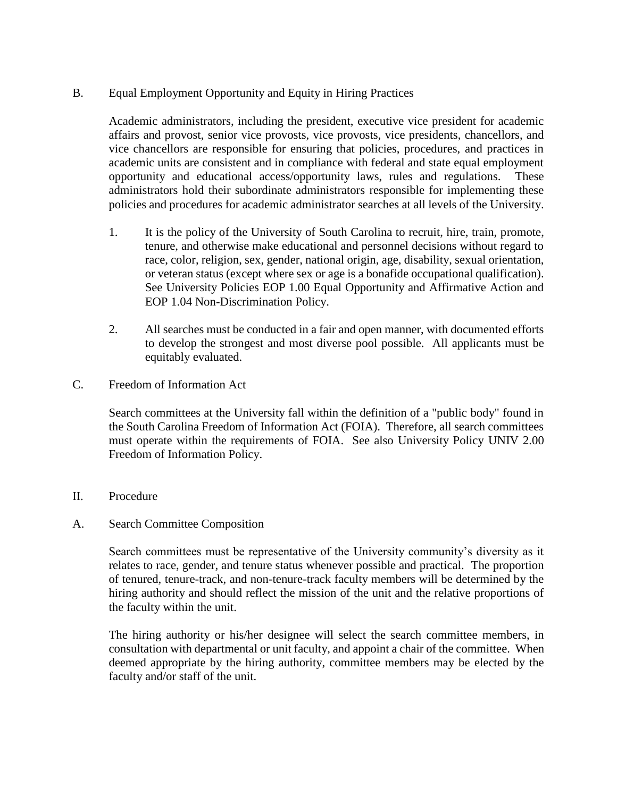B. Equal Employment Opportunity and Equity in Hiring Practices

Academic administrators, including the president, executive vice president for academic affairs and provost, senior vice provosts, vice provosts, vice presidents, chancellors, and vice chancellors are responsible for ensuring that policies, procedures, and practices in academic units are consistent and in compliance with federal and state equal employment opportunity and educational access/opportunity laws, rules and regulations. These administrators hold their subordinate administrators responsible for implementing these policies and procedures for academic administrator searches at all levels of the University.

- 1. It is the policy of the University of South Carolina to recruit, hire, train, promote, tenure, and otherwise make educational and personnel decisions without regard to race, color, religion, sex, gender, national origin, age, disability, sexual orientation, or veteran status (except where sex or age is a bonafide occupational qualification). See University Policies EOP 1.00 Equal Opportunity and Affirmative Action and EOP 1.04 Non-Discrimination Policy.
- 2. All searches must be conducted in a fair and open manner, with documented efforts to develop the strongest and most diverse pool possible. All applicants must be equitably evaluated.
- C. Freedom of Information Act

Search committees at the University fall within the definition of a "public body" found in the South Carolina Freedom of Information Act (FOIA). Therefore, all search committees must operate within the requirements of FOIA. See also University Policy UNIV 2.00 Freedom of Information Policy.

- II. Procedure
- A. Search Committee Composition

Search committees must be representative of the University community's diversity as it relates to race, gender, and tenure status whenever possible and practical. The proportion of tenured, tenure-track, and non-tenure-track faculty members will be determined by the hiring authority and should reflect the mission of the unit and the relative proportions of the faculty within the unit.

The hiring authority or his/her designee will select the search committee members, in consultation with departmental or unit faculty, and appoint a chair of the committee. When deemed appropriate by the hiring authority, committee members may be elected by the faculty and/or staff of the unit.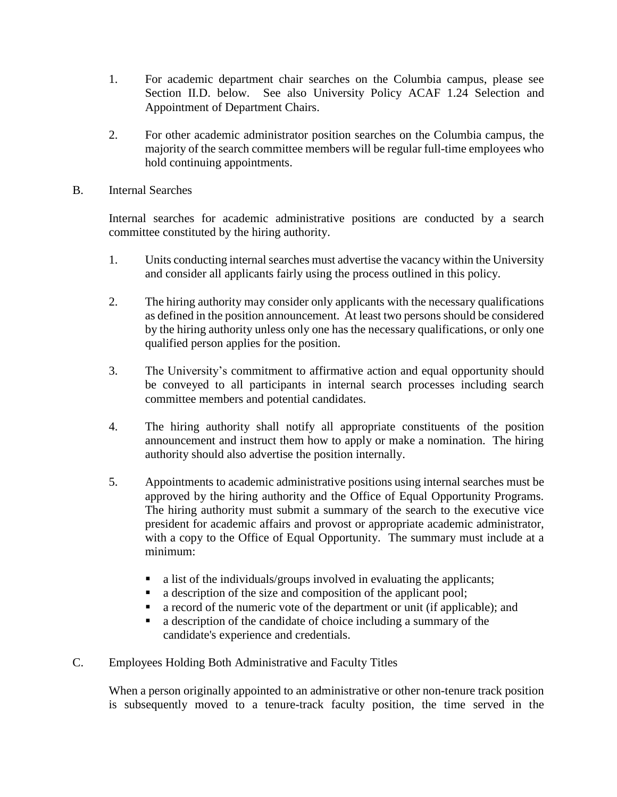- 1. For academic department chair searches on the Columbia campus, please see Section II.D. below. See also University Policy ACAF 1.24 Selection and Appointment of Department Chairs.
- 2. For other academic administrator position searches on the Columbia campus, the majority of the search committee members will be regular full-time employees who hold continuing appointments.
- B. Internal Searches

Internal searches for academic administrative positions are conducted by a search committee constituted by the hiring authority.

- 1. Units conducting internal searches must advertise the vacancy within the University and consider all applicants fairly using the process outlined in this policy.
- 2. The hiring authority may consider only applicants with the necessary qualifications as defined in the position announcement. At least two persons should be considered by the hiring authority unless only one has the necessary qualifications, or only one qualified person applies for the position.
- 3. The University's commitment to affirmative action and equal opportunity should be conveyed to all participants in internal search processes including search committee members and potential candidates.
- 4. The hiring authority shall notify all appropriate constituents of the position announcement and instruct them how to apply or make a nomination. The hiring authority should also advertise the position internally.
- 5. Appointments to academic administrative positions using internal searches must be approved by the hiring authority and the Office of Equal Opportunity Programs. The hiring authority must submit a summary of the search to the executive vice president for academic affairs and provost or appropriate academic administrator, with a copy to the Office of Equal Opportunity. The summary must include at a minimum:
	- a list of the individuals/groups involved in evaluating the applicants;
	- a description of the size and composition of the applicant pool;
	- a record of the numeric vote of the department or unit (if applicable); and
	- a description of the candidate of choice including a summary of the candidate's experience and credentials.
- C. Employees Holding Both Administrative and Faculty Titles

When a person originally appointed to an administrative or other non-tenure track position is subsequently moved to a tenure-track faculty position, the time served in the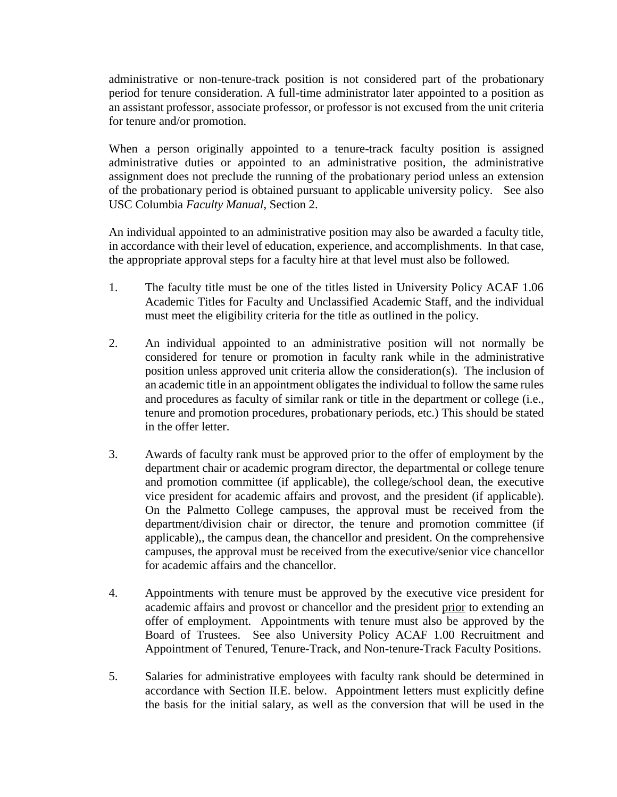administrative or non-tenure-track position is not considered part of the probationary period for tenure consideration. A full-time administrator later appointed to a position as an assistant professor, associate professor, or professor is not excused from the unit criteria for tenure and/or promotion.

When a person originally appointed to a tenure-track faculty position is assigned administrative duties or appointed to an administrative position, the administrative assignment does not preclude the running of the probationary period unless an extension of the probationary period is obtained pursuant to applicable university policy. See also USC Columbia *Faculty Manual*, Section 2.

An individual appointed to an administrative position may also be awarded a faculty title, in accordance with their level of education, experience, and accomplishments. In that case, the appropriate approval steps for a faculty hire at that level must also be followed.

- 1. The faculty title must be one of the titles listed in University Policy ACAF 1.06 Academic Titles for Faculty and Unclassified Academic Staff, and the individual must meet the eligibility criteria for the title as outlined in the policy.
- 2. An individual appointed to an administrative position will not normally be considered for tenure or promotion in faculty rank while in the administrative position unless approved unit criteria allow the consideration(s). The inclusion of an academic title in an appointment obligates the individual to follow the same rules and procedures as faculty of similar rank or title in the department or college (i.e., tenure and promotion procedures, probationary periods, etc.) This should be stated in the offer letter.
- 3. Awards of faculty rank must be approved prior to the offer of employment by the department chair or academic program director, the departmental or college tenure and promotion committee (if applicable), the college/school dean, the executive vice president for academic affairs and provost, and the president (if applicable). On the Palmetto College campuses, the approval must be received from the department/division chair or director, the tenure and promotion committee (if applicable),, the campus dean, the chancellor and president. On the comprehensive campuses, the approval must be received from the executive/senior vice chancellor for academic affairs and the chancellor.
- 4. Appointments with tenure must be approved by the executive vice president for academic affairs and provost or chancellor and the president prior to extending an offer of employment. Appointments with tenure must also be approved by the Board of Trustees. See also University Policy ACAF 1.00 Recruitment and Appointment of Tenured, Tenure-Track, and Non-tenure-Track Faculty Positions.
- 5. Salaries for administrative employees with faculty rank should be determined in accordance with Section II.E. below. Appointment letters must explicitly define the basis for the initial salary, as well as the conversion that will be used in the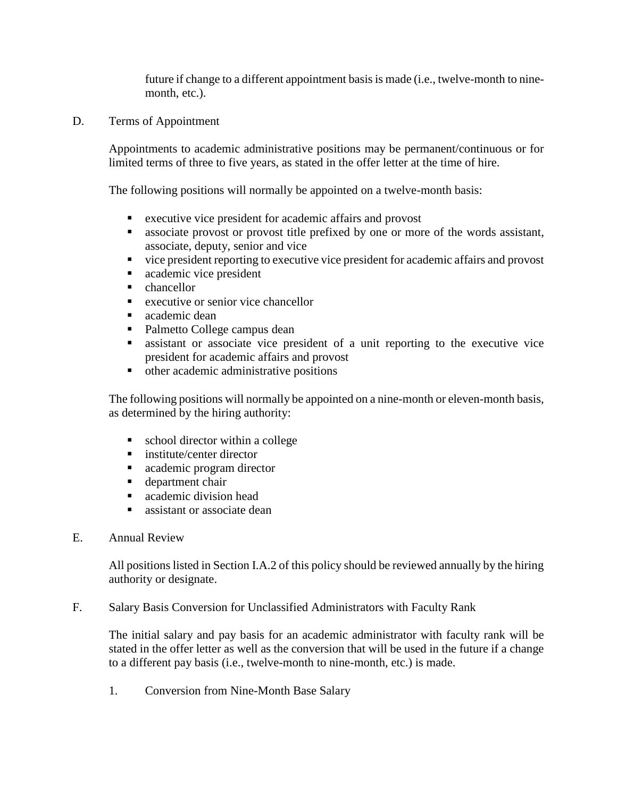future if change to a different appointment basis is made (i.e., twelve-month to ninemonth, etc.).

D. Terms of Appointment

Appointments to academic administrative positions may be permanent/continuous or for limited terms of three to five years, as stated in the offer letter at the time of hire.

The following positions will normally be appointed on a twelve-month basis:

- executive vice president for academic affairs and provost
- associate provost or provost title prefixed by one or more of the words assistant, associate, deputy, senior and vice
- vice president reporting to executive vice president for academic affairs and provost
- **a** academic vice president
- **-** chancellor
- executive or senior vice chancellor
- academic dean
- Palmetto College campus dean
- assistant or associate vice president of a unit reporting to the executive vice president for academic affairs and provost
- other academic administrative positions

The following positions will normally be appointed on a nine-month or eleven-month basis, as determined by the hiring authority:

- school director within a college
- **institute/center director**
- **academic program director**
- **department chair**
- academic division head
- sale assistant or associate dean
- E. Annual Review

All positions listed in Section I.A.2 of this policy should be reviewed annually by the hiring authority or designate.

F. Salary Basis Conversion for Unclassified Administrators with Faculty Rank

The initial salary and pay basis for an academic administrator with faculty rank will be stated in the offer letter as well as the conversion that will be used in the future if a change to a different pay basis (i.e., twelve-month to nine-month, etc.) is made.

1. Conversion from Nine-Month Base Salary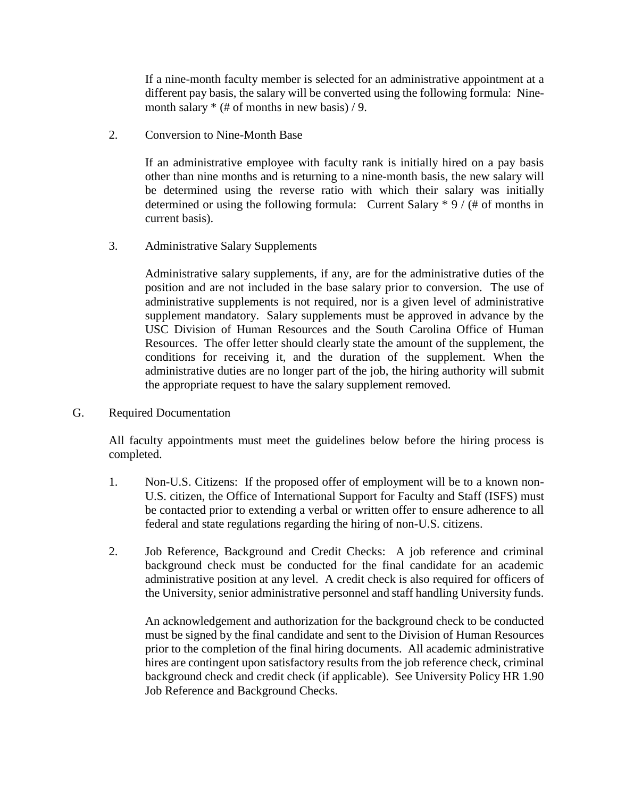If a nine-month faculty member is selected for an administrative appointment at a different pay basis, the salary will be converted using the following formula: Ninemonth salary  $*(\# \text{ of months in new basis})/9$ .

2. Conversion to Nine-Month Base

If an administrative employee with faculty rank is initially hired on a pay basis other than nine months and is returning to a nine-month basis, the new salary will be determined using the reverse ratio with which their salary was initially determined or using the following formula: Current Salary \* 9 / (# of months in current basis).

3. Administrative Salary Supplements

Administrative salary supplements, if any, are for the administrative duties of the position and are not included in the base salary prior to conversion. The use of administrative supplements is not required, nor is a given level of administrative supplement mandatory. Salary supplements must be approved in advance by the USC Division of Human Resources and the South Carolina Office of Human Resources. The offer letter should clearly state the amount of the supplement, the conditions for receiving it, and the duration of the supplement. When the administrative duties are no longer part of the job, the hiring authority will submit the appropriate request to have the salary supplement removed.

G. Required Documentation

All faculty appointments must meet the guidelines below before the hiring process is completed.

- 1. Non-U.S. Citizens: If the proposed offer of employment will be to a known non-U.S. citizen, the Office of International Support for Faculty and Staff (ISFS) must be contacted prior to extending a verbal or written offer to ensure adherence to all federal and state regulations regarding the hiring of non-U.S. citizens.
- 2. Job Reference, Background and Credit Checks: A job reference and criminal background check must be conducted for the final candidate for an academic administrative position at any level. A credit check is also required for officers of the University, senior administrative personnel and staff handling University funds.

An acknowledgement and authorization for the background check to be conducted must be signed by the final candidate and sent to the Division of Human Resources prior to the completion of the final hiring documents. All academic administrative hires are contingent upon satisfactory results from the job reference check, criminal background check and credit check (if applicable). See University Policy HR 1.90 Job Reference and Background Checks.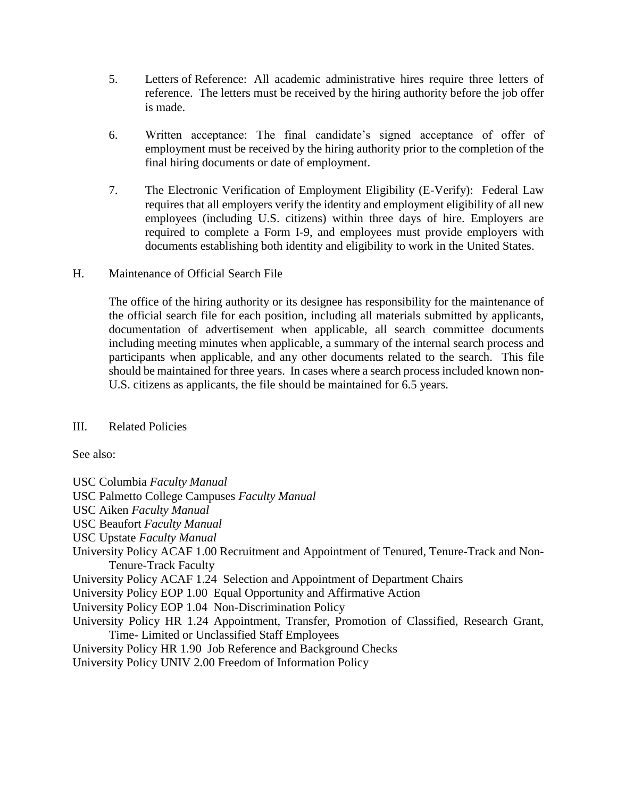- 5. Letters of Reference: All academic administrative hires require three letters of reference. The letters must be received by the hiring authority before the job offer is made.
- 6. Written acceptance: The final candidate's signed acceptance of offer of employment must be received by the hiring authority prior to the completion of the final hiring documents or date of employment.
- 7. The Electronic Verification of Employment Eligibility (E-Verify): Federal Law requires that all employers verify the identity and employment eligibility of all new employees (including U.S. citizens) within three days of hire. Employers are required to complete a Form I-9, and employees must provide employers with documents establishing both identity and eligibility to work in the United States.
- H. Maintenance of Official Search File

The office of the hiring authority or its designee has responsibility for the maintenance of the official search file for each position, including all materials submitted by applicants, documentation of advertisement when applicable, all search committee documents including meeting minutes when applicable, a summary of the internal search process and participants when applicable, and any other documents related to the search. This file should be maintained for three years. In cases where a search process included known non-U.S. citizens as applicants, the file should be maintained for 6.5 years.

## III. Related Policies

See also:

USC Columbia *Faculty Manual* USC Palmetto College Campuses *Faculty Manual* USC Aiken *Faculty Manual* USC Beaufort *Faculty Manual* USC Upstate *Faculty Manual* University Policy ACAF 1.00 Recruitment and Appointment of Tenured, Tenure-Track and Non-Tenure-Track Faculty University Policy ACAF 1.24 Selection and Appointment of Department Chairs University Policy EOP 1.00 Equal Opportunity and Affirmative Action University Policy EOP 1.04 Non-Discrimination Policy University Policy HR 1.24 Appointment, Transfer, Promotion of Classified, Research Grant, Time- Limited or Unclassified Staff Employees University Policy HR 1.90 Job Reference and Background Checks University Policy UNIV 2.00 Freedom of Information Policy